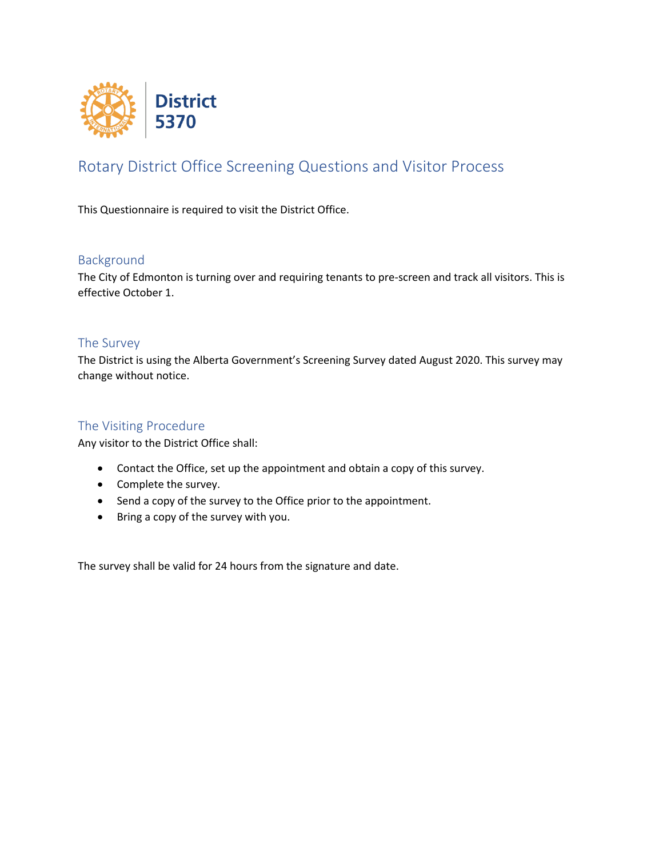

## Rotary District Office Screening Questions and Visitor Process

This Questionnaire is required to visit the District Office.

### Background

The City of Edmonton is turning over and requiring tenants to pre-screen and track all visitors. This is effective October 1.

### The Survey

The District is using the Alberta Government's Screening Survey dated August 2020. This survey may change without notice.

### The Visiting Procedure

Any visitor to the District Office shall:

- Contact the Office, set up the appointment and obtain a copy of this survey.
- Complete the survey.
- Send a copy of the survey to the Office prior to the appointment.
- Bring a copy of the survey with you.

The survey shall be valid for 24 hours from the signature and date.